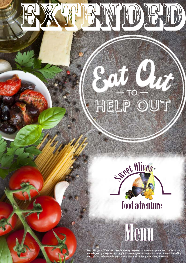# HELP OUT

 $2777$ 

LE NT TO END



Menu

*Food Allergens: Whilst we cater for dietary preferences, we cannot guarantee that foods are entirely free of allergens, nuts or gluten because food is prepared in an environment handling nuts, gluten and other allergens. Please take note of this if your allergy is severe.*